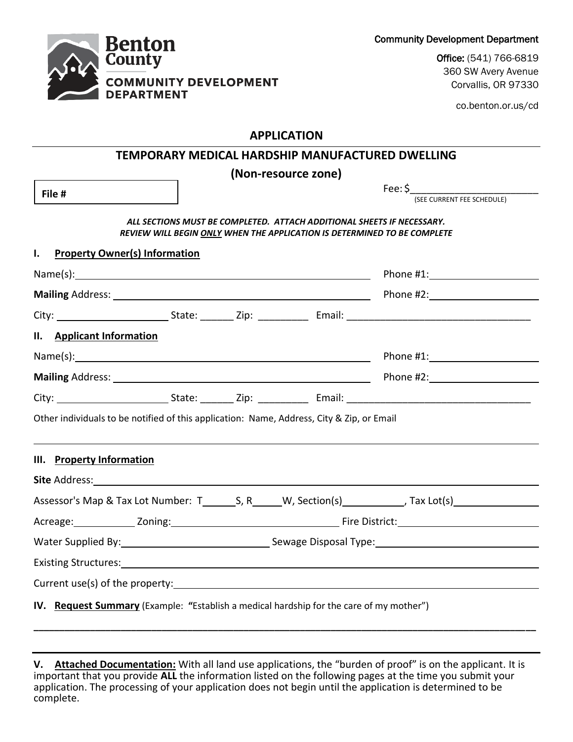Community Development Department

Office: (541) 766-6819 360 SW Avery Avenue Corvallis, OR 97330

co.benton.or.us/cd

#### **APPLICATION**

**Benton County** 

**DEPARTMENT** 

**COMMUNITY DEVELOPMENT** 

|                                                                                                                          |                                                                                                                                                                                                                               |  |                                                                        | TEMPORARY MEDICAL HARDSHIP MANUFACTURED DWELLING                                                                                                                                                                              |
|--------------------------------------------------------------------------------------------------------------------------|-------------------------------------------------------------------------------------------------------------------------------------------------------------------------------------------------------------------------------|--|------------------------------------------------------------------------|-------------------------------------------------------------------------------------------------------------------------------------------------------------------------------------------------------------------------------|
|                                                                                                                          |                                                                                                                                                                                                                               |  | (Non-resource zone)                                                    |                                                                                                                                                                                                                               |
| File #                                                                                                                   |                                                                                                                                                                                                                               |  |                                                                        | Fee: \$<br>(SEE CURRENT FEE SCHEDULE)                                                                                                                                                                                         |
|                                                                                                                          |                                                                                                                                                                                                                               |  | ALL SECTIONS MUST BE COMPLETED. ATTACH ADDITIONAL SHEETS IF NECESSARY. | REVIEW WILL BEGIN ONLY WHEN THE APPLICATION IS DETERMINED TO BE COMPLETE                                                                                                                                                      |
| I.<br><b>Property Owner(s) Information</b>                                                                               |                                                                                                                                                                                                                               |  |                                                                        |                                                                                                                                                                                                                               |
|                                                                                                                          |                                                                                                                                                                                                                               |  |                                                                        | Phone #1: and the state of the state of the state of the state of the state of the state of the state of the state of the state of the state of the state of the state of the state of the state of the state of the state of |
|                                                                                                                          |                                                                                                                                                                                                                               |  |                                                                        |                                                                                                                                                                                                                               |
|                                                                                                                          |                                                                                                                                                                                                                               |  |                                                                        |                                                                                                                                                                                                                               |
| II. Applicant Information                                                                                                |                                                                                                                                                                                                                               |  |                                                                        |                                                                                                                                                                                                                               |
|                                                                                                                          |                                                                                                                                                                                                                               |  |                                                                        |                                                                                                                                                                                                                               |
|                                                                                                                          |                                                                                                                                                                                                                               |  |                                                                        |                                                                                                                                                                                                                               |
|                                                                                                                          |                                                                                                                                                                                                                               |  |                                                                        |                                                                                                                                                                                                                               |
| Other individuals to be notified of this application: Name, Address, City & Zip, or Email                                |                                                                                                                                                                                                                               |  |                                                                        |                                                                                                                                                                                                                               |
| III. Property Information                                                                                                |                                                                                                                                                                                                                               |  |                                                                        |                                                                                                                                                                                                                               |
|                                                                                                                          |                                                                                                                                                                                                                               |  |                                                                        |                                                                                                                                                                                                                               |
|                                                                                                                          |                                                                                                                                                                                                                               |  |                                                                        |                                                                                                                                                                                                                               |
|                                                                                                                          |                                                                                                                                                                                                                               |  |                                                                        |                                                                                                                                                                                                                               |
|                                                                                                                          | Water Supplied By: 1992 Contract Contract Contract Contract Contract Contract Contract Contract Contract Contract Contract Contract Contract Contract Contract Contract Contract Contract Contract Contract Contract Contract |  |                                                                        |                                                                                                                                                                                                                               |
| Existing Structures: <u>contract and the contract of the contract of the contract of the contract of the contract of</u> |                                                                                                                                                                                                                               |  |                                                                        |                                                                                                                                                                                                                               |
|                                                                                                                          |                                                                                                                                                                                                                               |  |                                                                        |                                                                                                                                                                                                                               |
|                                                                                                                          |                                                                                                                                                                                                                               |  |                                                                        |                                                                                                                                                                                                                               |
| IV. Request Summary (Example: "Establish a medical hardship for the care of my mother")                                  |                                                                                                                                                                                                                               |  |                                                                        |                                                                                                                                                                                                                               |

**V. Attached Documentation:** With all land use applications, the "burden of proof" is on the applicant. It is important that you provide **ALL** the information listed on the following pages at the time you submit your application. The processing of your application does not begin until the application is determined to be complete.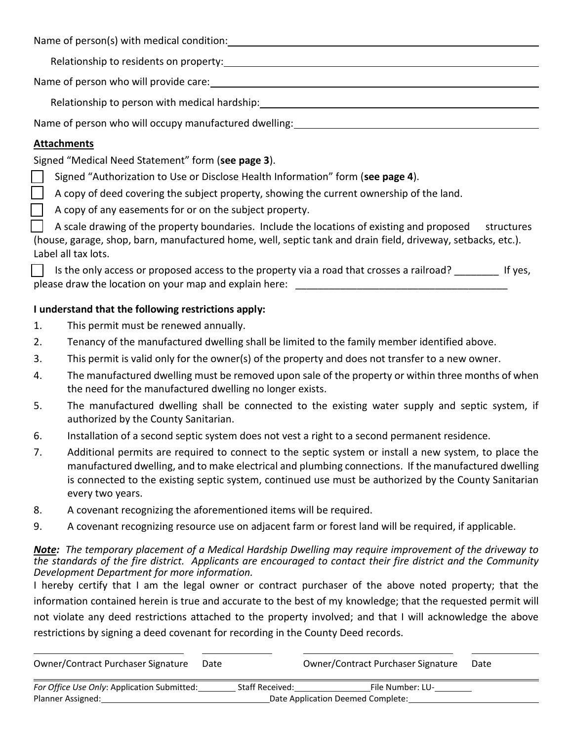Name of person(s) with medical condition:

Relationship to residents on property:

Name of person who will provide care:

Relationship to person with medical hardship: Network and the manufacture of the manufacture of the manufacture

Name of person who will occupy manufactured dwelling:<br>

## **Attachments**

Signed "Medical Need Statement" form (**see page 3**).

Signed "Authorization to Use or Disclose Health Information" form (**see page 4**).

A copy of deed covering the subject property, showing the current ownership of the land.

A copy of any easements for or on the subject property.

 A scale drawing of the property boundaries. Include the locations of existing and proposed structures (house, garage, shop, barn, manufactured home, well, septic tank and drain field, driveway, setbacks, etc.). Label all tax lots.

Is the only access or proposed access to the property via a road that crosses a railroad? If yes, please draw the location on your map and explain here:

### **I understand that the following restrictions apply:**

- 1. This permit must be renewed annually.
- 2. Tenancy of the manufactured dwelling shall be limited to the family member identified above.
- 3. This permit is valid only for the owner(s) of the property and does not transfer to a new owner.
- 4. The manufactured dwelling must be removed upon sale of the property or within three months of when the need for the manufactured dwelling no longer exists.
- 5. The manufactured dwelling shall be connected to the existing water supply and septic system, if authorized by the County Sanitarian.
- 6. Installation of a second septic system does not vest a right to a second permanent residence.
- 7. Additional permits are required to connect to the septic system or install a new system, to place the manufactured dwelling, and to make electrical and plumbing connections. If the manufactured dwelling is connected to the existing septic system, continued use must be authorized by the County Sanitarian every two years.
- 8. A covenant recognizing the aforementioned items will be required.
- 9. A covenant recognizing resource use on adjacent farm or forest land will be required, if applicable.

### *Note: The temporary placement of a Medical Hardship Dwelling may require improvement of the driveway to the standards of the fire district. Applicants are encouraged to contact their fire district and the Community Development Department for more information.*

I hereby certify that I am the legal owner or contract purchaser of the above noted property; that the information contained herein is true and accurate to the best of my knowledge; that the requested permit will not violate any deed restrictions attached to the property involved; and that I will acknowledge the above restrictions by signing a deed covenant for recording in the County Deed records.

| Owner/Contract Purchaser Signature          | Date |                                   | Owner/Contract Purchaser Signature | Date |
|---------------------------------------------|------|-----------------------------------|------------------------------------|------|
| For Office Use Only: Application Submitted: |      | <b>Staff Received:</b>            | File Number: LU-                   |      |
| Planner Assigned:                           |      | Date Application Deemed Complete: |                                    |      |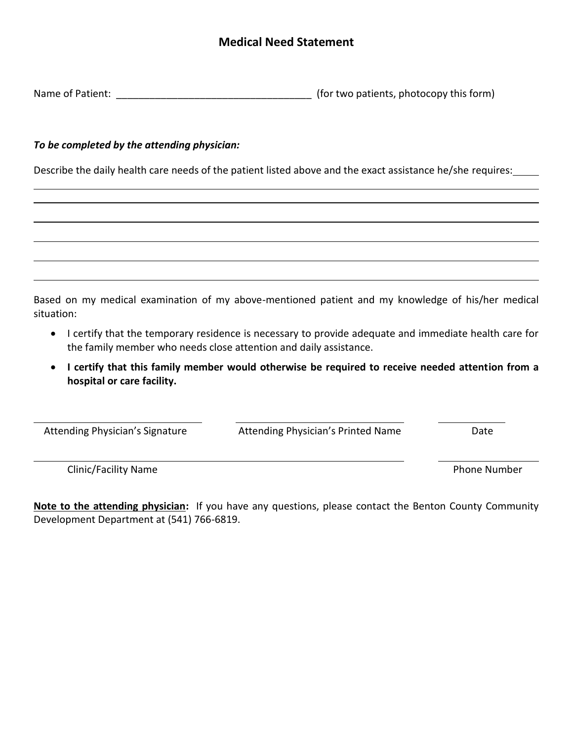## **Medical Need Statement**

| Name of Patient: |  | (for two patients, photocopy this form) |
|------------------|--|-----------------------------------------|
|                  |  |                                         |

#### *To be completed by the attending physician:*

Describe the daily health care needs of the patient listed above and the exact assistance he/she requires:

Based on my medical examination of my above-mentioned patient and my knowledge of his/her medical situation:

- I certify that the temporary residence is necessary to provide adequate and immediate health care for the family member who needs close attention and daily assistance.
- **I certify that this family member would otherwise be required to receive needed attention from a hospital or care facility.**

Attending Physician's Signature **Attending Physician's Printed Name** Date

 $\overline{a}$ 

Clinic/Facility Name **Phone Number** Phone Number

**Note to the attending physician:** If you have any questions, please contact the Benton County Community Development Department at (541) 766-6819.